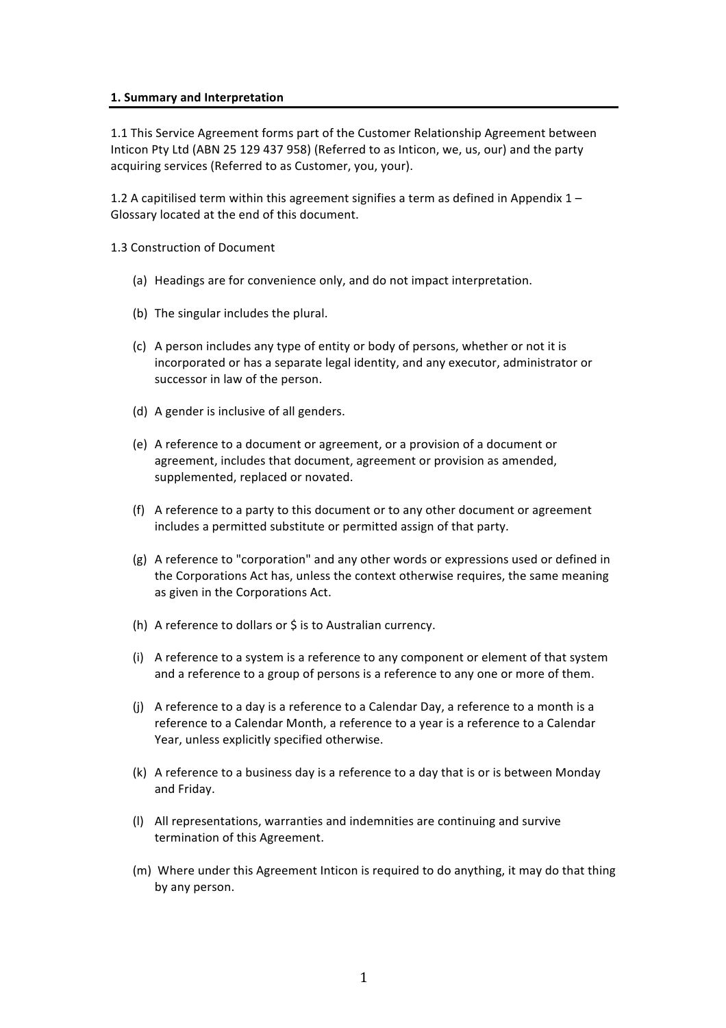### **1. Summary and Interpretation**

1.1 This Service Agreement forms part of the Customer Relationship Agreement between Inticon Pty Ltd (ABN 25 129 437 958) (Referred to as Inticon, we, us, our) and the party acquiring services (Referred to as Customer, you, your).

1.2 A capitilised term within this agreement signifies a term as defined in Appendix  $1-$ Glossary located at the end of this document.

1.3 Construction of Document

- (a) Headings are for convenience only, and do not impact interpretation.
- (b) The singular includes the plural.
- (c) A person includes any type of entity or body of persons, whether or not it is incorporated or has a separate legal identity, and any executor, administrator or successor in law of the person.
- $(d)$  A gender is inclusive of all genders.
- (e) A reference to a document or agreement, or a provision of a document or agreement, includes that document, agreement or provision as amended, supplemented, replaced or novated.
- (f) A reference to a party to this document or to any other document or agreement includes a permitted substitute or permitted assign of that party.
- (g) A reference to "corporation" and any other words or expressions used or defined in the Corporations Act has, unless the context otherwise requires, the same meaning as given in the Corporations Act.
- (h) A reference to dollars or  $$$  is to Australian currency.
- (i) A reference to a system is a reference to any component or element of that system and a reference to a group of persons is a reference to any one or more of them.
- (j) A reference to a day is a reference to a Calendar Day, a reference to a month is a reference to a Calendar Month, a reference to a year is a reference to a Calendar Year, unless explicitly specified otherwise.
- (k) A reference to a business day is a reference to a day that is or is between Monday and Friday.
- (I) All representations, warranties and indemnities are continuing and survive termination of this Agreement.
- (m) Where under this Agreement Inticon is required to do anything, it may do that thing by any person.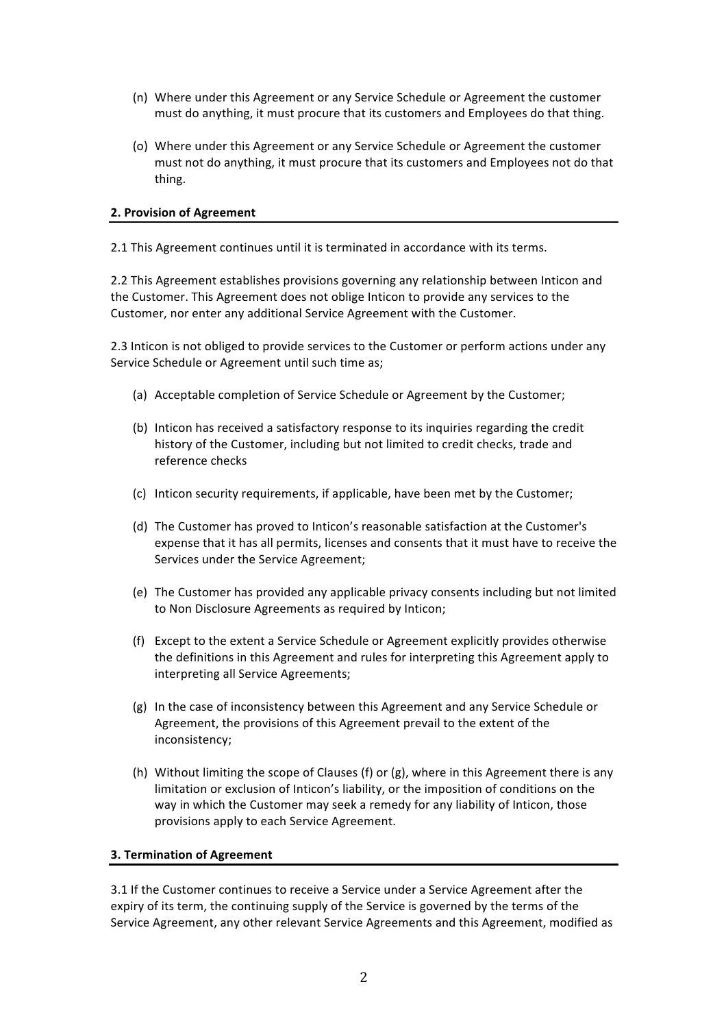- (n) Where under this Agreement or any Service Schedule or Agreement the customer must do anything, it must procure that its customers and Employees do that thing.
- (o) Where under this Agreement or any Service Schedule or Agreement the customer must not do anything, it must procure that its customers and Employees not do that thing.

## **2. Provision of Agreement**

2.1 This Agreement continues until it is terminated in accordance with its terms.

2.2 This Agreement establishes provisions governing any relationship between Inticon and the Customer. This Agreement does not oblige Inticon to provide any services to the Customer, nor enter any additional Service Agreement with the Customer.

2.3 Inticon is not obliged to provide services to the Customer or perform actions under any Service Schedule or Agreement until such time as;

- (a) Acceptable completion of Service Schedule or Agreement by the Customer;
- (b) Inticon has received a satisfactory response to its inquiries regarding the credit history of the Customer, including but not limited to credit checks, trade and reference checks
- (c) Inticon security requirements, if applicable, have been met by the Customer;
- (d) The Customer has proved to Inticon's reasonable satisfaction at the Customer's expense that it has all permits, licenses and consents that it must have to receive the Services under the Service Agreement;
- (e) The Customer has provided any applicable privacy consents including but not limited to Non Disclosure Agreements as required by Inticon;
- (f) Except to the extent a Service Schedule or Agreement explicitly provides otherwise the definitions in this Agreement and rules for interpreting this Agreement apply to interpreting all Service Agreements;
- (g) In the case of inconsistency between this Agreement and any Service Schedule or Agreement, the provisions of this Agreement prevail to the extent of the inconsistency;
- (h) Without limiting the scope of Clauses (f) or (g), where in this Agreement there is any limitation or exclusion of Inticon's liability, or the imposition of conditions on the way in which the Customer may seek a remedy for any liability of Inticon, those provisions apply to each Service Agreement.

# **3. Termination of Agreement**

3.1 If the Customer continues to receive a Service under a Service Agreement after the expiry of its term, the continuing supply of the Service is governed by the terms of the Service Agreement, any other relevant Service Agreements and this Agreement, modified as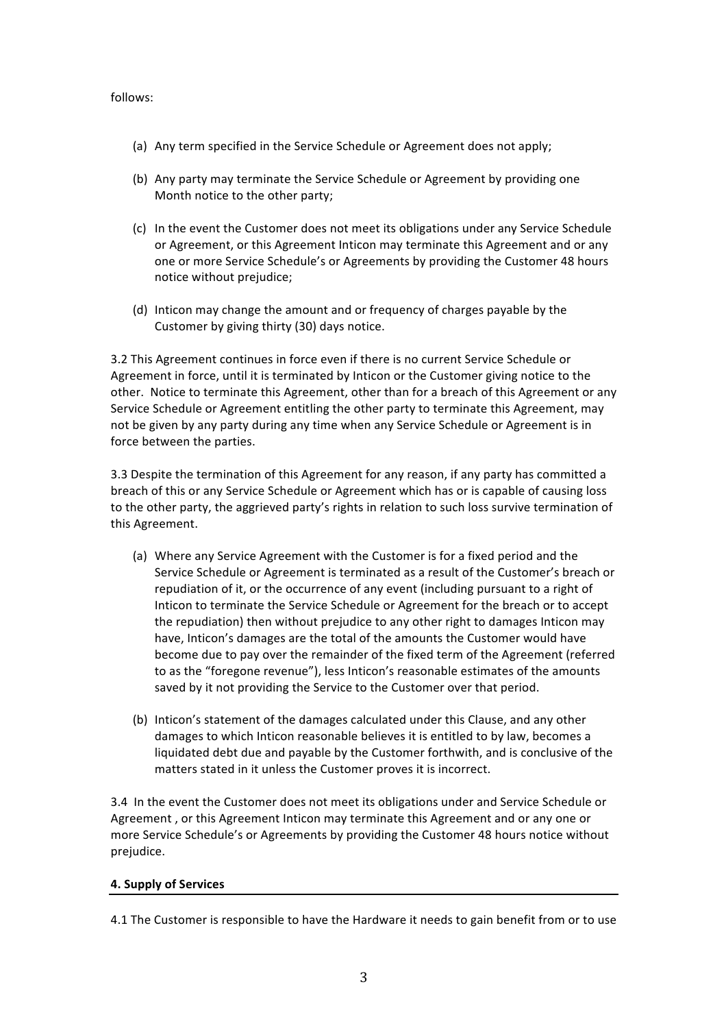## follows:

- (a) Any term specified in the Service Schedule or Agreement does not apply;
- (b) Any party may terminate the Service Schedule or Agreement by providing one Month notice to the other party;
- (c) In the event the Customer does not meet its obligations under any Service Schedule or Agreement, or this Agreement Inticon may terminate this Agreement and or any one or more Service Schedule's or Agreements by providing the Customer 48 hours notice without prejudice;
- (d) Inticon may change the amount and or frequency of charges payable by the Customer by giving thirty (30) days notice.

3.2 This Agreement continues in force even if there is no current Service Schedule or Agreement in force, until it is terminated by Inticon or the Customer giving notice to the other. Notice to terminate this Agreement, other than for a breach of this Agreement or any Service Schedule or Agreement entitling the other party to terminate this Agreement, may not be given by any party during any time when any Service Schedule or Agreement is in force between the parties.

3.3 Despite the termination of this Agreement for any reason, if any party has committed a breach of this or any Service Schedule or Agreement which has or is capable of causing loss to the other party, the aggrieved party's rights in relation to such loss survive termination of this Agreement.

- (a) Where any Service Agreement with the Customer is for a fixed period and the Service Schedule or Agreement is terminated as a result of the Customer's breach or repudiation of it, or the occurrence of any event (including pursuant to a right of Inticon to terminate the Service Schedule or Agreement for the breach or to accept the repudiation) then without prejudice to any other right to damages Inticon may have, Inticon's damages are the total of the amounts the Customer would have become due to pay over the remainder of the fixed term of the Agreement (referred to as the "foregone revenue"), less Inticon's reasonable estimates of the amounts saved by it not providing the Service to the Customer over that period.
- (b) Inticon's statement of the damages calculated under this Clause, and any other damages to which Inticon reasonable believes it is entitled to by law, becomes a liquidated debt due and payable by the Customer forthwith, and is conclusive of the matters stated in it unless the Customer proves it is incorrect.

3.4 In the event the Customer does not meet its obligations under and Service Schedule or Agreement, or this Agreement Inticon may terminate this Agreement and or any one or more Service Schedule's or Agreements by providing the Customer 48 hours notice without prejudice.

## **4. Supply of Services**

4.1 The Customer is responsible to have the Hardware it needs to gain benefit from or to use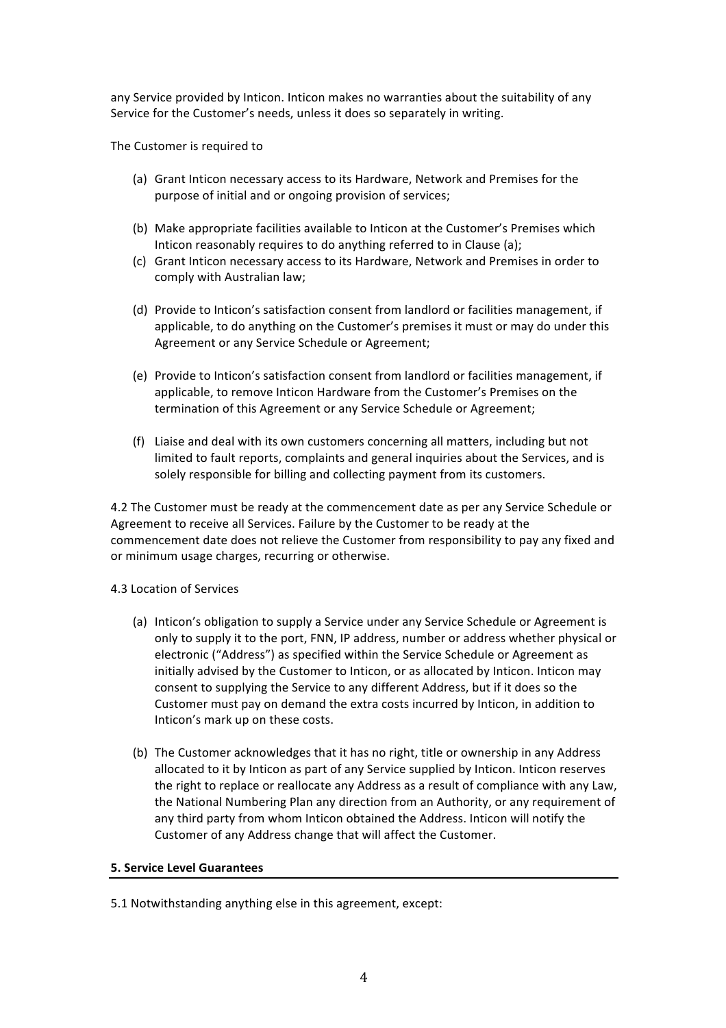any Service provided by Inticon. Inticon makes no warranties about the suitability of any Service for the Customer's needs, unless it does so separately in writing.

The Customer is required to

- (a) Grant Inticon necessary access to its Hardware, Network and Premises for the purpose of initial and or ongoing provision of services;
- (b) Make appropriate facilities available to Inticon at the Customer's Premises which Inticon reasonably requires to do anything referred to in Clause (a);
- (c) Grant Inticon necessary access to its Hardware, Network and Premises in order to comply with Australian law;
- (d) Provide to Inticon's satisfaction consent from landlord or facilities management, if applicable, to do anything on the Customer's premises it must or may do under this Agreement or any Service Schedule or Agreement:
- (e) Provide to Inticon's satisfaction consent from landlord or facilities management, if applicable, to remove Inticon Hardware from the Customer's Premises on the termination of this Agreement or any Service Schedule or Agreement;
- (f) Liaise and deal with its own customers concerning all matters, including but not limited to fault reports, complaints and general inquiries about the Services, and is solely responsible for billing and collecting payment from its customers.

4.2 The Customer must be ready at the commencement date as per any Service Schedule or Agreement to receive all Services. Failure by the Customer to be ready at the commencement date does not relieve the Customer from responsibility to pay any fixed and or minimum usage charges, recurring or otherwise.

## 4.3 Location of Services

- (a) Inticon's obligation to supply a Service under any Service Schedule or Agreement is only to supply it to the port, FNN, IP address, number or address whether physical or electronic ("Address") as specified within the Service Schedule or Agreement as initially advised by the Customer to Inticon, or as allocated by Inticon. Inticon may consent to supplying the Service to any different Address, but if it does so the Customer must pay on demand the extra costs incurred by Inticon, in addition to Inticon's mark up on these costs.
- (b) The Customer acknowledges that it has no right, title or ownership in any Address allocated to it by Inticon as part of any Service supplied by Inticon. Inticon reserves the right to replace or reallocate any Address as a result of compliance with any Law, the National Numbering Plan any direction from an Authority, or any requirement of any third party from whom Inticon obtained the Address. Inticon will notify the Customer of any Address change that will affect the Customer.

#### **5. Service Level Guarantees**

5.1 Notwithstanding anything else in this agreement, except: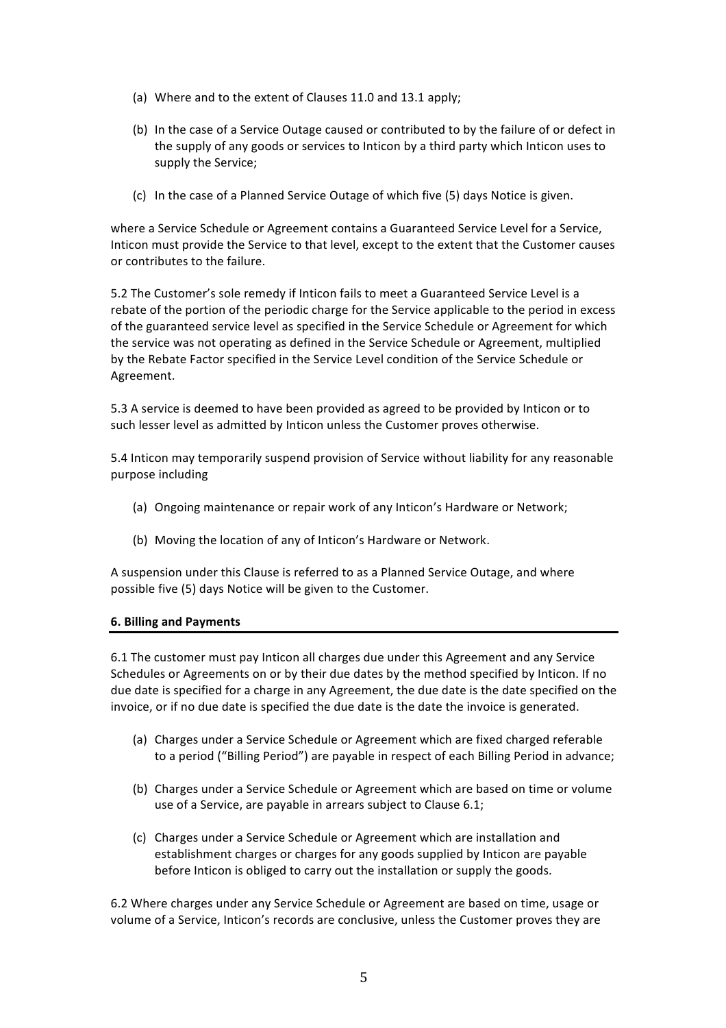- (a) Where and to the extent of Clauses 11.0 and 13.1 apply;
- (b) In the case of a Service Outage caused or contributed to by the failure of or defect in the supply of any goods or services to Inticon by a third party which Inticon uses to supply the Service;
- (c) In the case of a Planned Service Outage of which five (5) days Notice is given.

where a Service Schedule or Agreement contains a Guaranteed Service Level for a Service, Inticon must provide the Service to that level, except to the extent that the Customer causes or contributes to the failure.

5.2 The Customer's sole remedy if Inticon fails to meet a Guaranteed Service Level is a rebate of the portion of the periodic charge for the Service applicable to the period in excess of the guaranteed service level as specified in the Service Schedule or Agreement for which the service was not operating as defined in the Service Schedule or Agreement, multiplied by the Rebate Factor specified in the Service Level condition of the Service Schedule or Agreement.#

5.3 A service is deemed to have been provided as agreed to be provided by Inticon or to such lesser level as admitted by Inticon unless the Customer proves otherwise.

5.4 Inticon may temporarily suspend provision of Service without liability for any reasonable purpose including

- (a) Ongoing maintenance or repair work of any Inticon's Hardware or Network;
- (b) Moving the location of any of Inticon's Hardware or Network.

A suspension under this Clause is referred to as a Planned Service Outage, and where possible five (5) days Notice will be given to the Customer.

## **6. Billing and Payments**

6.1 The customer must pay Inticon all charges due under this Agreement and any Service Schedules or Agreements on or by their due dates by the method specified by Inticon. If no due date is specified for a charge in any Agreement, the due date is the date specified on the invoice, or if no due date is specified the due date is the date the invoice is generated.

- (a) Charges under a Service Schedule or Agreement which are fixed charged referable to a period ("Billing Period") are payable in respect of each Billing Period in advance;
- (b) Charges under a Service Schedule or Agreement which are based on time or volume use of a Service, are payable in arrears subject to Clause 6.1;
- (c) Charges under a Service Schedule or Agreement which are installation and establishment charges or charges for any goods supplied by Inticon are payable before Inticon is obliged to carry out the installation or supply the goods.

6.2 Where charges under any Service Schedule or Agreement are based on time, usage or volume of a Service, Inticon's records are conclusive, unless the Customer proves they are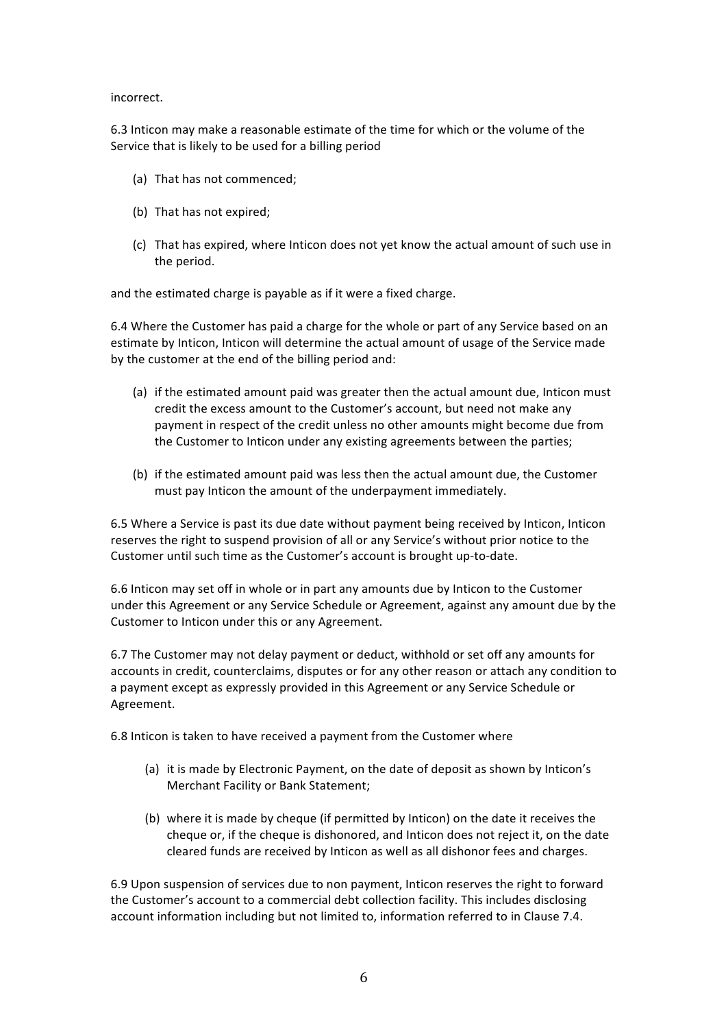## incorrect.

6.3 Inticon may make a reasonable estimate of the time for which or the volume of the Service that is likely to be used for a billing period

- (a) That has not commenced;
- (b) That has not expired:
- (c) That has expired, where Inticon does not yet know the actual amount of such use in the period.

and the estimated charge is payable as if it were a fixed charge.

6.4 Where the Customer has paid a charge for the whole or part of any Service based on an estimate by Inticon, Inticon will determine the actual amount of usage of the Service made by the customer at the end of the billing period and:

- (a) if the estimated amount paid was greater then the actual amount due, Inticon must credit the excess amount to the Customer's account, but need not make any payment in respect of the credit unless no other amounts might become due from the Customer to Inticon under any existing agreements between the parties;
- (b) if the estimated amount paid was less then the actual amount due, the Customer must pay Inticon the amount of the underpayment immediately.

6.5 Where a Service is past its due date without payment being received by Inticon, Inticon reserves the right to suspend provision of all or any Service's without prior notice to the Customer until such time as the Customer's account is brought up-to-date.

6.6 Inticon may set off in whole or in part any amounts due by Inticon to the Customer under this Agreement or any Service Schedule or Agreement, against any amount due by the Customer to Inticon under this or any Agreement.

6.7 The Customer may not delay payment or deduct, withhold or set off any amounts for accounts in credit, counterclaims, disputes or for any other reason or attach any condition to a payment except as expressly provided in this Agreement or any Service Schedule or Agreement.

6.8 Inticon is taken to have received a payment from the Customer where

- (a) it is made by Electronic Payment, on the date of deposit as shown by Inticon's Merchant Facility or Bank Statement;
- (b) where it is made by cheque (if permitted by Inticon) on the date it receives the cheque or, if the cheque is dishonored, and Inticon does not reject it, on the date cleared funds are received by Inticon as well as all dishonor fees and charges.

6.9 Upon suspension of services due to non payment, Inticon reserves the right to forward the Customer's account to a commercial debt collection facility. This includes disclosing account information including but not limited to, information referred to in Clause 7.4.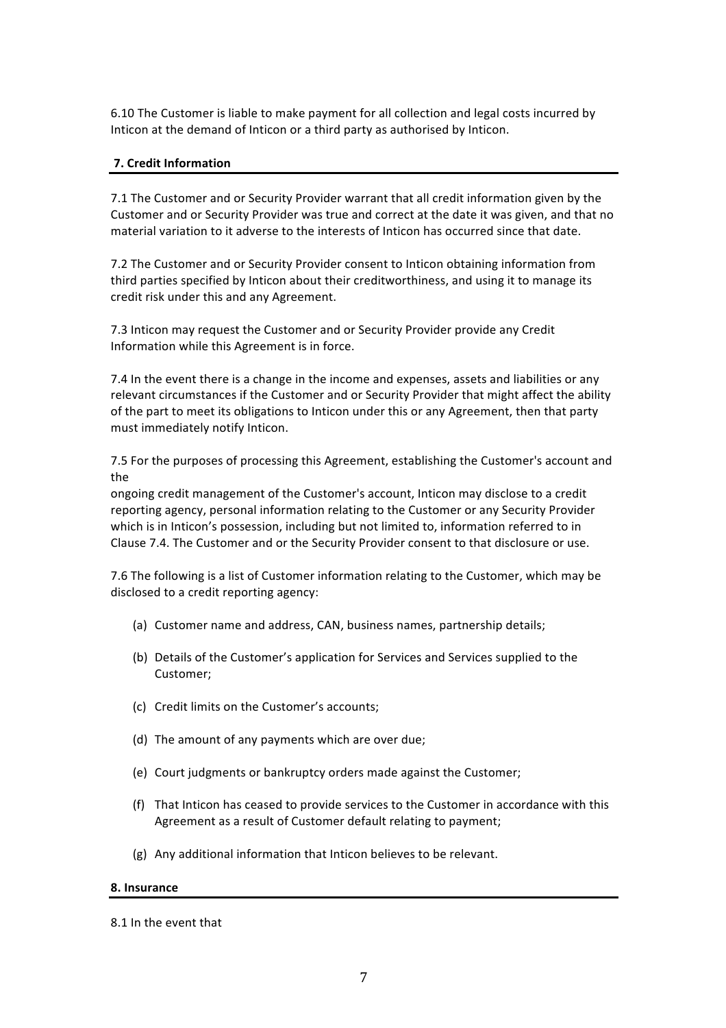6.10 The Customer is liable to make payment for all collection and legal costs incurred by Inticon at the demand of Inticon or a third party as authorised by Inticon.

# **7.** Credit Information

7.1 The Customer and or Security Provider warrant that all credit information given by the Customer and or Security Provider was true and correct at the date it was given, and that no material variation to it adverse to the interests of Inticon has occurred since that date.

7.2 The Customer and or Security Provider consent to Inticon obtaining information from third parties specified by Inticon about their creditworthiness, and using it to manage its credit risk under this and any Agreement.

7.3 Inticon may request the Customer and or Security Provider provide any Credit Information while this Agreement is in force.

7.4 In the event there is a change in the income and expenses, assets and liabilities or any relevant circumstances if the Customer and or Security Provider that might affect the ability of the part to meet its obligations to Inticon under this or any Agreement, then that party must immediately notify Inticon.

7.5 For the purposes of processing this Agreement, establishing the Customer's account and the#

ongoing credit management of the Customer's account, Inticon may disclose to a credit reporting agency, personal information relating to the Customer or any Security Provider which is in Inticon's possession, including but not limited to, information referred to in Clause 7.4. The Customer and or the Security Provider consent to that disclosure or use.

7.6 The following is a list of Customer information relating to the Customer, which may be disclosed to a credit reporting agency:

- (a) Customer name and address, CAN, business names, partnership details;
- (b) Details of the Customer's application for Services and Services supplied to the Customer;
- (c) Credit limits on the Customer's accounts;
- (d) The amount of any payments which are over due;
- (e) Court judgments or bankruptcy orders made against the Customer;
- (f) That Inticon has ceased to provide services to the Customer in accordance with this Agreement as a result of Customer default relating to payment;
- (g) Any additional information that Inticon believes to be relevant.

## **8. Insurance**

8.1 In the event that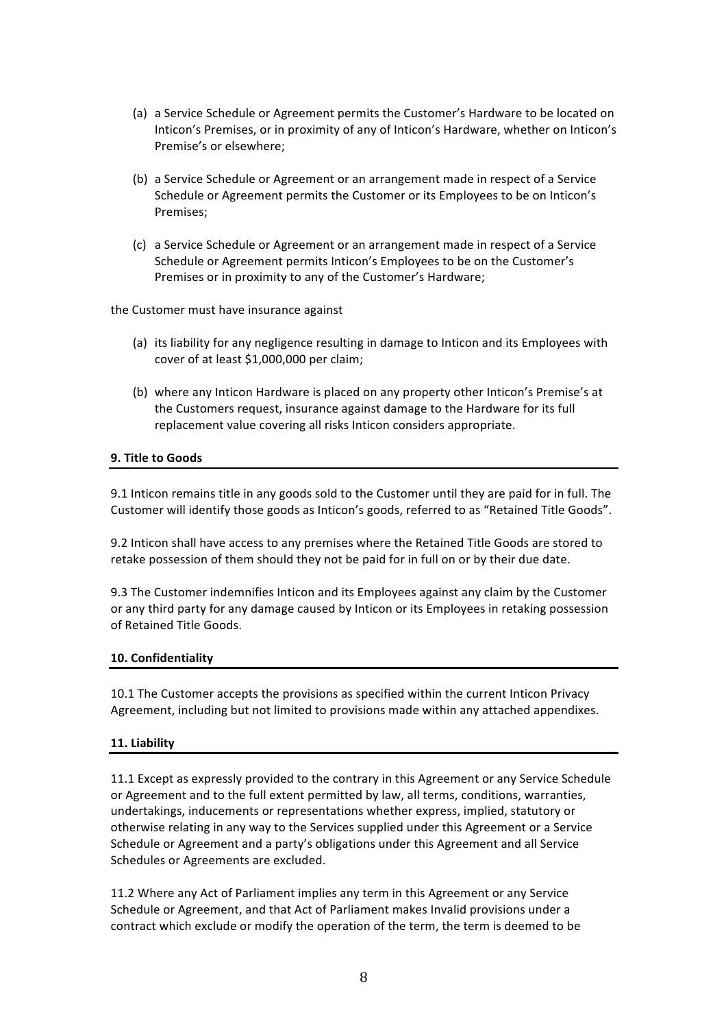- (a) a Service Schedule or Agreement permits the Customer's Hardware to be located on Inticon's Premises, or in proximity of any of Inticon's Hardware, whether on Inticon's Premise's or elsewhere;
- (b) a Service Schedule or Agreement or an arrangement made in respect of a Service Schedule or Agreement permits the Customer or its Employees to be on Inticon's Premises;
- (c) a Service Schedule or Agreement or an arrangement made in respect of a Service Schedule or Agreement permits Inticon's Employees to be on the Customer's Premises or in proximity to any of the Customer's Hardware;

the Customer must have insurance against

- (a) its liability for any negligence resulting in damage to Inticon and its Employees with cover of at least  $$1,000,000$  per claim;
- (b) where any Inticon Hardware is placed on any property other Inticon's Premise's at the Customers request, insurance against damage to the Hardware for its full replacement value covering all risks Inticon considers appropriate.

## **9. Title to Goods**

9.1 Inticon remains title in any goods sold to the Customer until they are paid for in full. The Customer will identify those goods as Inticon's goods, referred to as "Retained Title Goods".

9.2 Inticon shall have access to any premises where the Retained Title Goods are stored to retake possession of them should they not be paid for in full on or by their due date.

9.3 The Customer indemnifies Inticon and its Employees against any claim by the Customer or any third party for any damage caused by Inticon or its Employees in retaking possession of Retained Title Goods

## **10. Confidentiality**

10.1 The Customer accepts the provisions as specified within the current Inticon Privacy Agreement, including but not limited to provisions made within any attached appendixes.

## **11. Liability**

11.1 Except as expressly provided to the contrary in this Agreement or any Service Schedule or Agreement and to the full extent permitted by law, all terms, conditions, warranties, undertakings, inducements or representations whether express, implied, statutory or otherwise relating in any way to the Services supplied under this Agreement or a Service Schedule or Agreement and a party's obligations under this Agreement and all Service Schedules or Agreements are excluded.

11.2 Where any Act of Parliament implies any term in this Agreement or any Service Schedule or Agreement, and that Act of Parliament makes Invalid provisions under a contract which exclude or modify the operation of the term, the term is deemed to be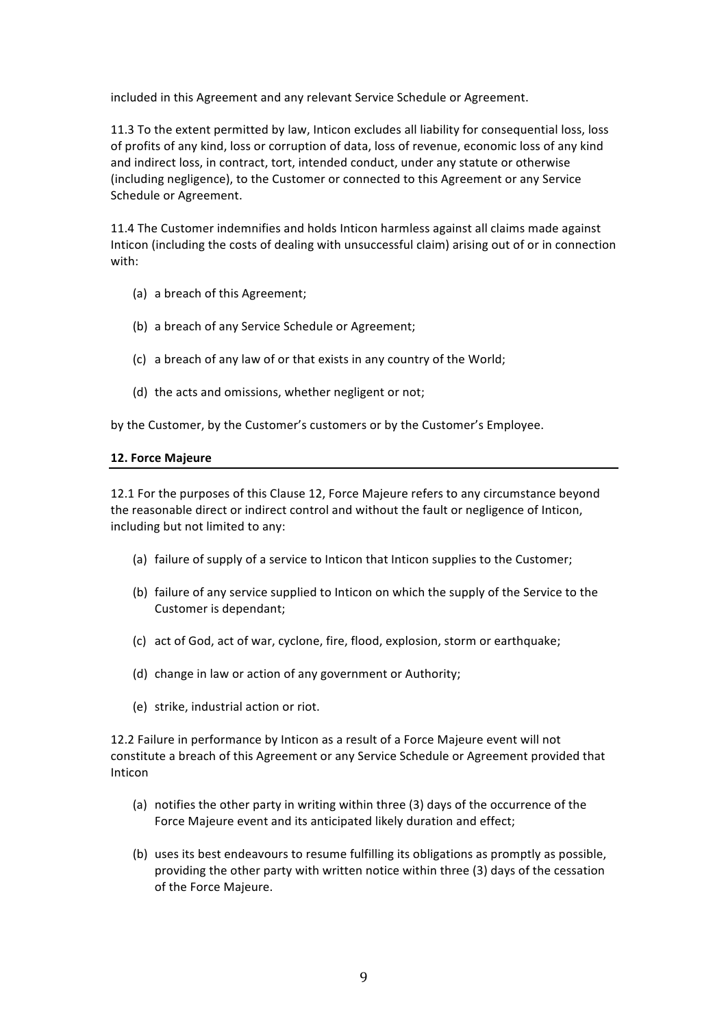included in this Agreement and any relevant Service Schedule or Agreement.

11.3 To the extent permitted by law, Inticon excludes all liability for consequential loss, loss of profits of any kind, loss or corruption of data, loss of revenue, economic loss of any kind and indirect loss, in contract, tort, intended conduct, under any statute or otherwise (including negligence), to the Customer or connected to this Agreement or any Service Schedule or Agreement.

11.4 The Customer indemnifies and holds Inticon harmless against all claims made against Inticon (including the costs of dealing with unsuccessful claim) arising out of or in connection with:

- (a) a breach of this Agreement;
- (b) a breach of any Service Schedule or Agreement;
- $(c)$  a breach of any law of or that exists in any country of the World:
- (d) the acts and omissions, whether negligent or not;

by the Customer, by the Customer's customers or by the Customer's Employee.

## **12. Force Majeure**

12.1 For the purposes of this Clause 12, Force Majeure refers to any circumstance beyond the reasonable direct or indirect control and without the fault or negligence of Inticon, including but not limited to any:

- (a) failure of supply of a service to Inticon that Inticon supplies to the Customer;
- (b) failure of any service supplied to Inticon on which the supply of the Service to the Customer is dependant;
- (c) act of God, act of war, cyclone, fire, flood, explosion, storm or earthquake;
- (d) change in law or action of any government or Authority;
- (e) strike, industrial action or riot.

12.2 Failure in performance by Inticon as a result of a Force Majeure event will not constitute a breach of this Agreement or any Service Schedule or Agreement provided that Inticon

- (a) notifies the other party in writing within three (3) days of the occurrence of the Force Majeure event and its anticipated likely duration and effect;
- (b) uses its best endeavours to resume fulfilling its obligations as promptly as possible, providing the other party with written notice within three (3) days of the cessation of the Force Majeure.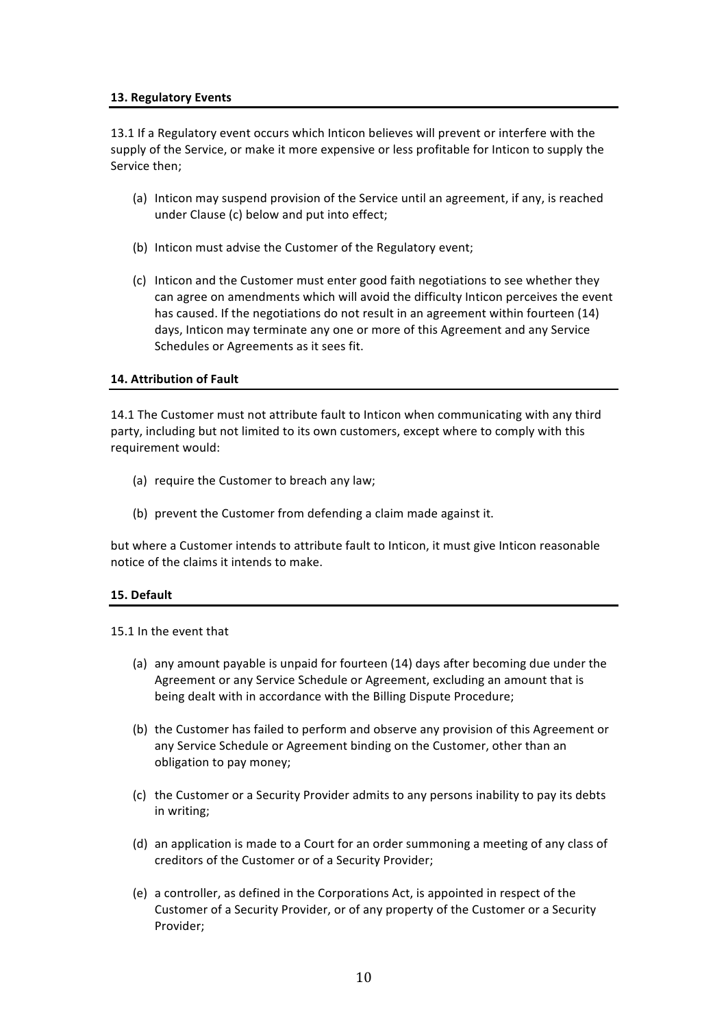### **13. Regulatory Events**

13.1 If a Regulatory event occurs which Inticon believes will prevent or interfere with the supply of the Service, or make it more expensive or less profitable for Inticon to supply the Service then;

- (a) Inticon may suspend provision of the Service until an agreement, if any, is reached under Clause (c) below and put into effect;
- (b) Inticon must advise the Customer of the Regulatory event;
- $(c)$  Inticon and the Customer must enter good faith negotiations to see whether they can agree on amendments which will avoid the difficulty Inticon perceives the event has caused. If the negotiations do not result in an agreement within fourteen (14) days, Inticon may terminate any one or more of this Agreement and any Service Schedules or Agreements as it sees fit.

### **14. Attribution of Fault**

14.1 The Customer must not attribute fault to Inticon when communicating with any third party, including but not limited to its own customers, except where to comply with this requirement would:

- (a) require the Customer to breach any law;
- (b) prevent the Customer from defending a claim made against it.

but where a Customer intends to attribute fault to Inticon, it must give Inticon reasonable notice of the claims it intends to make.

#### 15. Default

15.1 In the event that

- (a) any amount payable is unpaid for fourteen (14) days after becoming due under the Agreement or any Service Schedule or Agreement, excluding an amount that is being dealt with in accordance with the Billing Dispute Procedure;
- (b) the Customer has failed to perform and observe any provision of this Agreement or any Service Schedule or Agreement binding on the Customer, other than an obligation to pay money;
- (c) the Customer or a Security Provider admits to any persons inability to pay its debts in writing;
- (d) an application is made to a Court for an order summoning a meeting of any class of creditors of the Customer or of a Security Provider;
- (e) a controller, as defined in the Corporations Act, is appointed in respect of the Customer of a Security Provider, or of any property of the Customer or a Security Provider;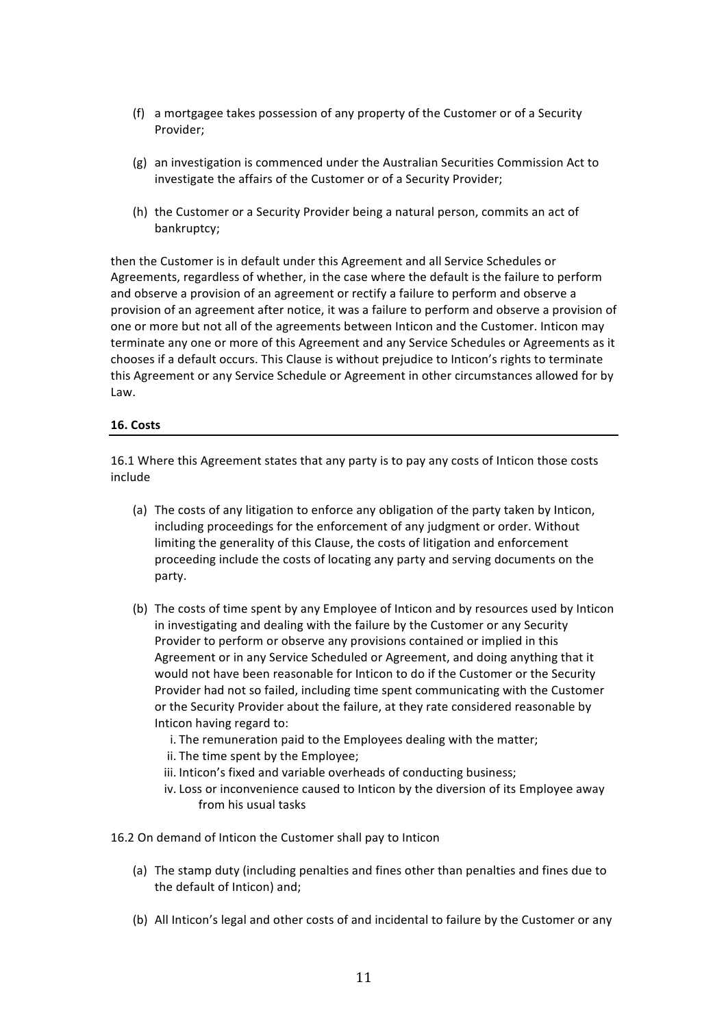- (f) a mortgagee takes possession of any property of the Customer or of a Security Provider;
- $(g)$  an investigation is commenced under the Australian Securities Commission Act to investigate the affairs of the Customer or of a Security Provider;
- (h) the Customer or a Security Provider being a natural person, commits an act of bankruptcy;

then the Customer is in default under this Agreement and all Service Schedules or Agreements, regardless of whether, in the case where the default is the failure to perform and observe a provision of an agreement or rectify a failure to perform and observe a provision of an agreement after notice, it was a failure to perform and observe a provision of one or more but not all of the agreements between Inticon and the Customer. Inticon may terminate any one or more of this Agreement and any Service Schedules or Agreements as it chooses if a default occurs. This Clause is without prejudice to Inticon's rights to terminate this Agreement or any Service Schedule or Agreement in other circumstances allowed for by Law.

## **16.#Costs**

16.1 Where this Agreement states that any party is to pay any costs of Inticon those costs include

- (a) The costs of any litigation to enforce any obligation of the party taken by Inticon, including proceedings for the enforcement of any judgment or order. Without limiting the generality of this Clause, the costs of litigation and enforcement proceeding include the costs of locating any party and serving documents on the party.
- (b) The costs of time spent by any Employee of Inticon and by resources used by Inticon in investigating and dealing with the failure by the Customer or any Security Provider to perform or observe any provisions contained or implied in this Agreement or in any Service Scheduled or Agreement, and doing anything that it would not have been reasonable for Inticon to do if the Customer or the Security Provider had not so failed, including time spent communicating with the Customer or the Security Provider about the failure, at they rate considered reasonable by Inticon having regard to:
	- i. The remuneration paid to the Employees dealing with the matter;
	- ii. The time spent by the Employee:
	- iii. Inticon's fixed and variable overheads of conducting business:
	- iv. Loss or inconvenience caused to Inticon by the diversion of its Employee away from his usual tasks
- 16.2 On demand of Inticon the Customer shall pay to Inticon
	- (a) The stamp duty (including penalties and fines other than penalties and fines due to the default of Inticon) and;
	- (b) All Inticon's legal and other costs of and incidental to failure by the Customer or any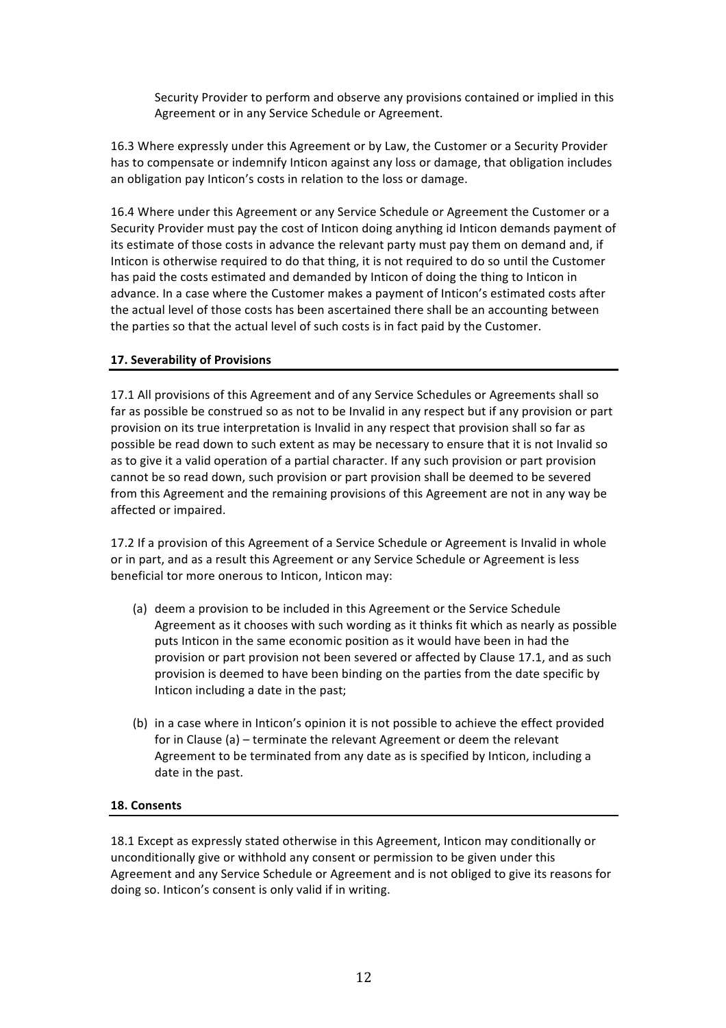Security Provider to perform and observe any provisions contained or implied in this Agreement or in any Service Schedule or Agreement.

16.3 Where expressly under this Agreement or by Law, the Customer or a Security Provider has to compensate or indemnify Inticon against any loss or damage, that obligation includes an obligation pay Inticon's costs in relation to the loss or damage.

16.4 Where under this Agreement or any Service Schedule or Agreement the Customer or a Security Provider must pay the cost of Inticon doing anything id Inticon demands payment of its estimate of those costs in advance the relevant party must pay them on demand and, if Inticon is otherwise required to do that thing, it is not required to do so until the Customer has paid the costs estimated and demanded by Inticon of doing the thing to Inticon in advance. In a case where the Customer makes a payment of Inticon's estimated costs after the actual level of those costs has been ascertained there shall be an accounting between the parties so that the actual level of such costs is in fact paid by the Customer.

## **17. Severability of Provisions**

17.1 All provisions of this Agreement and of any Service Schedules or Agreements shall so far as possible be construed so as not to be Invalid in any respect but if any provision or part provision on its true interpretation is Invalid in any respect that provision shall so far as possible be read down to such extent as may be necessary to ensure that it is not Invalid so as to give it a valid operation of a partial character. If any such provision or part provision cannot be so read down, such provision or part provision shall be deemed to be severed from this Agreement and the remaining provisions of this Agreement are not in any way be affected or impaired.

17.2 If a provision of this Agreement of a Service Schedule or Agreement is Invalid in whole or in part, and as a result this Agreement or any Service Schedule or Agreement is less beneficial tor more onerous to Inticon, Inticon may:

- (a) deem a provision to be included in this Agreement or the Service Schedule Agreement as it chooses with such wording as it thinks fit which as nearly as possible puts Inticon in the same economic position as it would have been in had the provision or part provision not been severed or affected by Clause 17.1, and as such provision is deemed to have been binding on the parties from the date specific by Inticon including a date in the past;
- (b) in a case where in Inticon's opinion it is not possible to achieve the effect provided for in Clause (a) – terminate the relevant Agreement or deem the relevant Agreement to be terminated from any date as is specified by Inticon, including a date in the past.

## 18. Consents

18.1 Except as expressly stated otherwise in this Agreement, Inticon may conditionally or unconditionally give or withhold any consent or permission to be given under this Agreement and any Service Schedule or Agreement and is not obliged to give its reasons for doing so. Inticon's consent is only valid if in writing.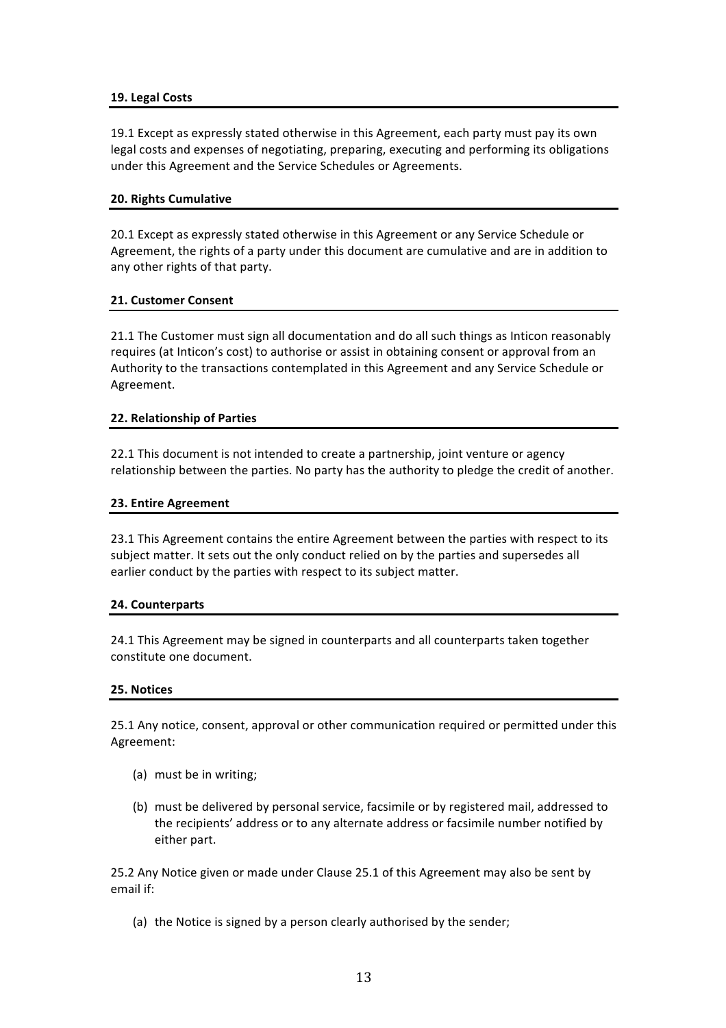## 19. Legal Costs

19.1 Except as expressly stated otherwise in this Agreement, each party must pay its own legal costs and expenses of negotiating, preparing, executing and performing its obligations under this Agreement and the Service Schedules or Agreements.

### **20. Rights Cumulative**

20.1 Except as expressly stated otherwise in this Agreement or any Service Schedule or Agreement, the rights of a party under this document are cumulative and are in addition to any other rights of that party.

### **21. Customer Consent**

21.1 The Customer must sign all documentation and do all such things as Inticon reasonably requires (at Inticon's cost) to authorise or assist in obtaining consent or approval from an Authority to the transactions contemplated in this Agreement and any Service Schedule or Agreement.#

### **22. Relationship of Parties**

22.1 This document is not intended to create a partnership, joint venture or agency relationship between the parties. No party has the authority to pledge the credit of another.

#### **23. Entire Agreement**

23.1 This Agreement contains the entire Agreement between the parties with respect to its subject matter. It sets out the only conduct relied on by the parties and supersedes all earlier conduct by the parties with respect to its subject matter.

#### **24.#Counterparts**

24.1 This Agreement may be signed in counterparts and all counterparts taken together constitute one document.

#### **25.#Notices**

25.1 Any notice, consent, approval or other communication required or permitted under this Agreement:

- (a) must be in writing;
- (b) must be delivered by personal service, facsimile or by registered mail, addressed to the recipients' address or to any alternate address or facsimile number notified by either part.

25.2 Any Notice given or made under Clause 25.1 of this Agreement may also be sent by email if:

(a) the Notice is signed by a person clearly authorised by the sender;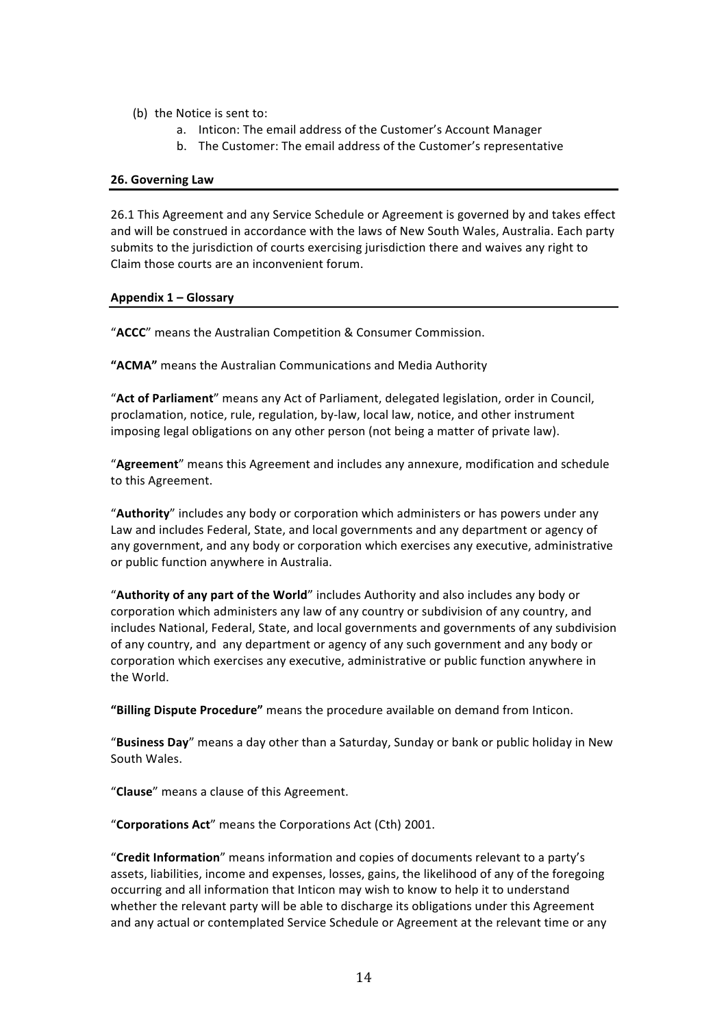- (b) the Notice is sent to:
	- a. Inticon: The email address of the Customer's Account Manager
	- b. The Customer: The email address of the Customer's representative

## **26. Governing Law**

26.1 This Agreement and any Service Schedule or Agreement is governed by and takes effect and will be construed in accordance with the laws of New South Wales, Australia. Each party submits to the jurisdiction of courts exercising jurisdiction there and waives any right to Claim those courts are an inconvenient forum.

## Appendix 1 – Glossary

"ACCC" means the Australian Competition & Consumer Commission.

"ACMA" means the Australian Communications and Media Authority

"Act of Parliament" means any Act of Parliament, delegated legislation, order in Council, proclamation, notice, rule, regulation, by-law, local law, notice, and other instrument imposing legal obligations on any other person (not being a matter of private law).

"Agreement" means this Agreement and includes any annexure, modification and schedule to this Agreement.

"Authority" includes any body or corporation which administers or has powers under any Law and includes Federal, State, and local governments and any department or agency of any government, and any body or corporation which exercises any executive, administrative or public function anywhere in Australia.

"Authority of any part of the World" includes Authority and also includes any body or corporation which administers any law of any country or subdivision of any country, and includes National, Federal, State, and local governments and governments of any subdivision of any country, and any department or agency of any such government and any body or corporation which exercises any executive, administrative or public function anywhere in the World.

"Billing Dispute Procedure" means the procedure available on demand from Inticon.

"**Business Day**" means a day other than a Saturday, Sunday or bank or public holiday in New South Wales.

"Clause" means a clause of this Agreement.

"Corporations Act" means the Corporations Act (Cth) 2001.

"Credit Information" means information and copies of documents relevant to a party's assets, liabilities, income and expenses, losses, gains, the likelihood of any of the foregoing occurring and all information that Inticon may wish to know to help it to understand whether the relevant party will be able to discharge its obligations under this Agreement and any actual or contemplated Service Schedule or Agreement at the relevant time or any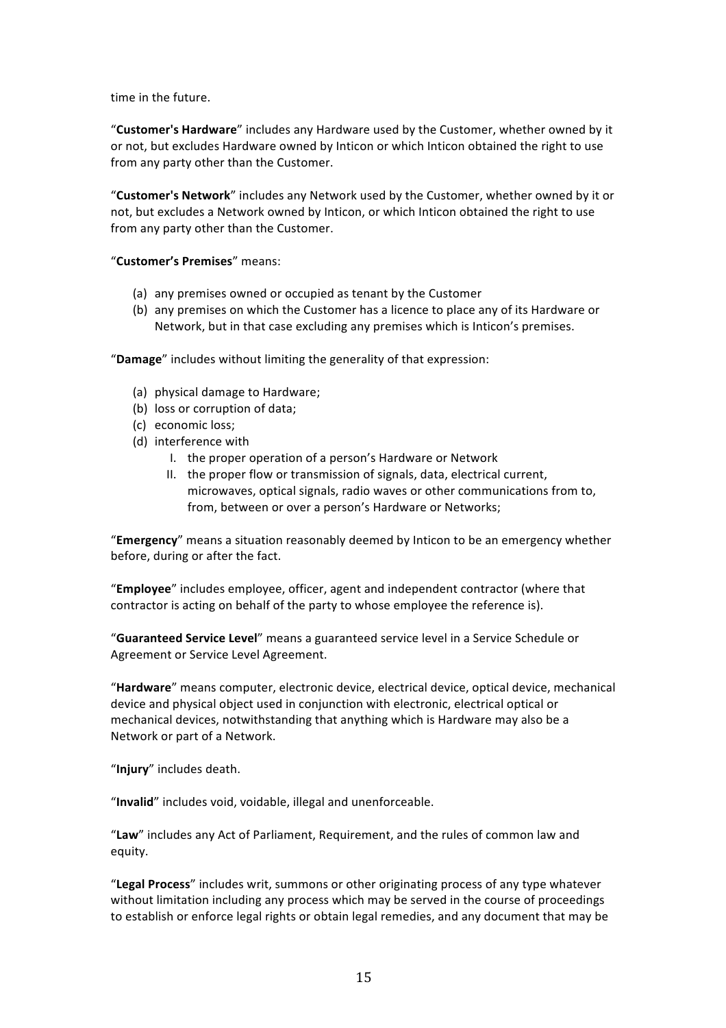time in the future.

"Customer's Hardware" includes any Hardware used by the Customer, whether owned by it or not, but excludes Hardware owned by Inticon or which Inticon obtained the right to use from any party other than the Customer.

"Customer's Network" includes any Network used by the Customer, whether owned by it or not, but excludes a Network owned by Inticon, or which Inticon obtained the right to use from any party other than the Customer.

### "Customer's Premises" means:

- (a) any premises owned or occupied as tenant by the Customer
- (b) any premises on which the Customer has a licence to place any of its Hardware or Network, but in that case excluding any premises which is Inticon's premises.

"Damage" includes without limiting the generality of that expression:

- (a) physical damage to Hardware;
- (b) loss or corruption of data;
- (c) economic loss;
- (d) interference with
	- I. the proper operation of a person's Hardware or Network
	- II. the proper flow or transmission of signals, data, electrical current, microwaves, optical signals, radio waves or other communications from to, from, between or over a person's Hardware or Networks;

"**Emergency**" means a situation reasonably deemed by Inticon to be an emergency whether before, during or after the fact.

"**Employee**" includes employee, officer, agent and independent contractor (where that contractor is acting on behalf of the party to whose employee the reference is).

"Guaranteed Service Level" means a guaranteed service level in a Service Schedule or Agreement or Service Level Agreement.

"Hardware" means computer, electronic device, electrical device, optical device, mechanical device and physical object used in conjunction with electronic, electrical optical or mechanical devices, notwithstanding that anything which is Hardware may also be a Network or part of a Network.

"Injury" includes death.

"Invalid" includes void, voidable, illegal and unenforceable.

"Law" includes any Act of Parliament, Requirement, and the rules of common law and equity.

"Legal Process" includes writ, summons or other originating process of any type whatever without limitation including any process which may be served in the course of proceedings to establish or enforce legal rights or obtain legal remedies, and any document that may be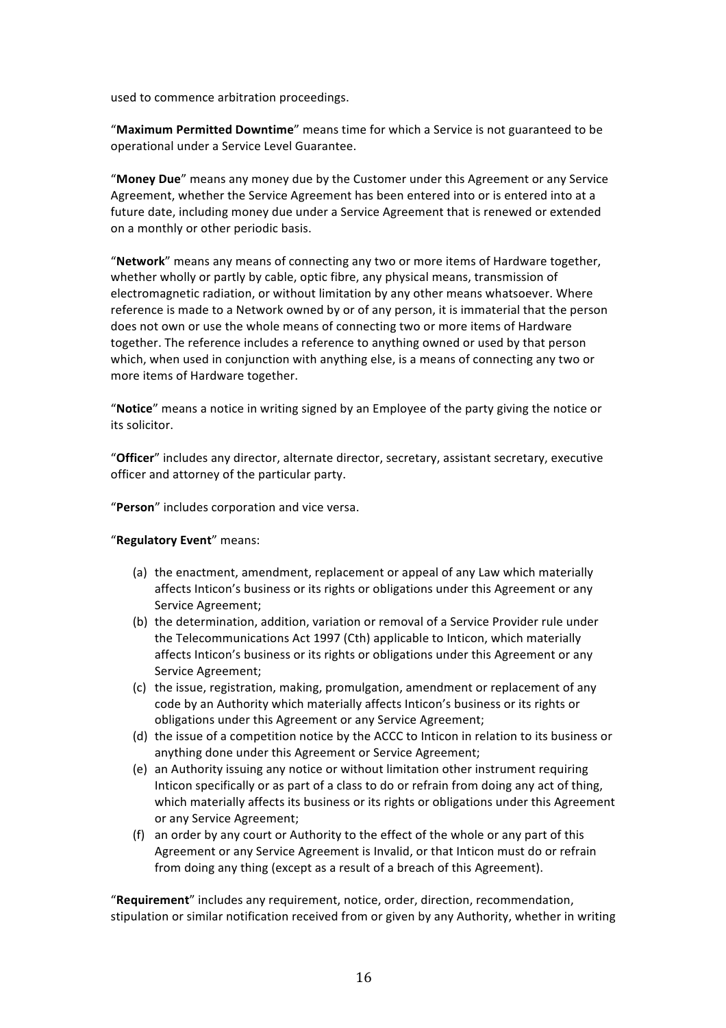used to commence arbitration proceedings.

"Maximum Permitted Downtime" means time for which a Service is not guaranteed to be operational under a Service Level Guarantee.

"Money Due" means any money due by the Customer under this Agreement or any Service Agreement, whether the Service Agreement has been entered into or is entered into at a future date, including money due under a Service Agreement that is renewed or extended on a monthly or other periodic basis.

"Network" means any means of connecting any two or more items of Hardware together, whether wholly or partly by cable, optic fibre, any physical means, transmission of electromagnetic radiation, or without limitation by any other means whatsoever. Where reference is made to a Network owned by or of any person, it is immaterial that the person does not own or use the whole means of connecting two or more items of Hardware together. The reference includes a reference to anything owned or used by that person which, when used in conjunction with anything else, is a means of connecting any two or more items of Hardware together.

"**Notice**" means a notice in writing signed by an Employee of the party giving the notice or its solicitor.

"Officer" includes any director, alternate director, secretary, assistant secretary, executive officer and attorney of the particular party.

"Person" includes corporation and vice versa.

## "Regulatory Event" means:

- (a) the enactment, amendment, replacement or appeal of any Law which materially affects Inticon's business or its rights or obligations under this Agreement or any Service Agreement;
- (b) the determination, addition, variation or removal of a Service Provider rule under the Telecommunications Act 1997 (Cth) applicable to Inticon, which materially affects Inticon's business or its rights or obligations under this Agreement or any Service Agreement;
- (c) the issue, registration, making, promulgation, amendment or replacement of any code by an Authority which materially affects Inticon's business or its rights or obligations under this Agreement or any Service Agreement;
- (d) the issue of a competition notice by the ACCC to Inticon in relation to its business or anything done under this Agreement or Service Agreement;
- (e) an Authority issuing any notice or without limitation other instrument requiring Inticon specifically or as part of a class to do or refrain from doing any act of thing, which materially affects its business or its rights or obligations under this Agreement or any Service Agreement;
- (f) an order by any court or Authority to the effect of the whole or any part of this Agreement or any Service Agreement is Invalid, or that Inticon must do or refrain from doing any thing (except as a result of a breach of this Agreement).

"Requirement" includes any requirement, notice, order, direction, recommendation, stipulation or similar notification received from or given by any Authority, whether in writing